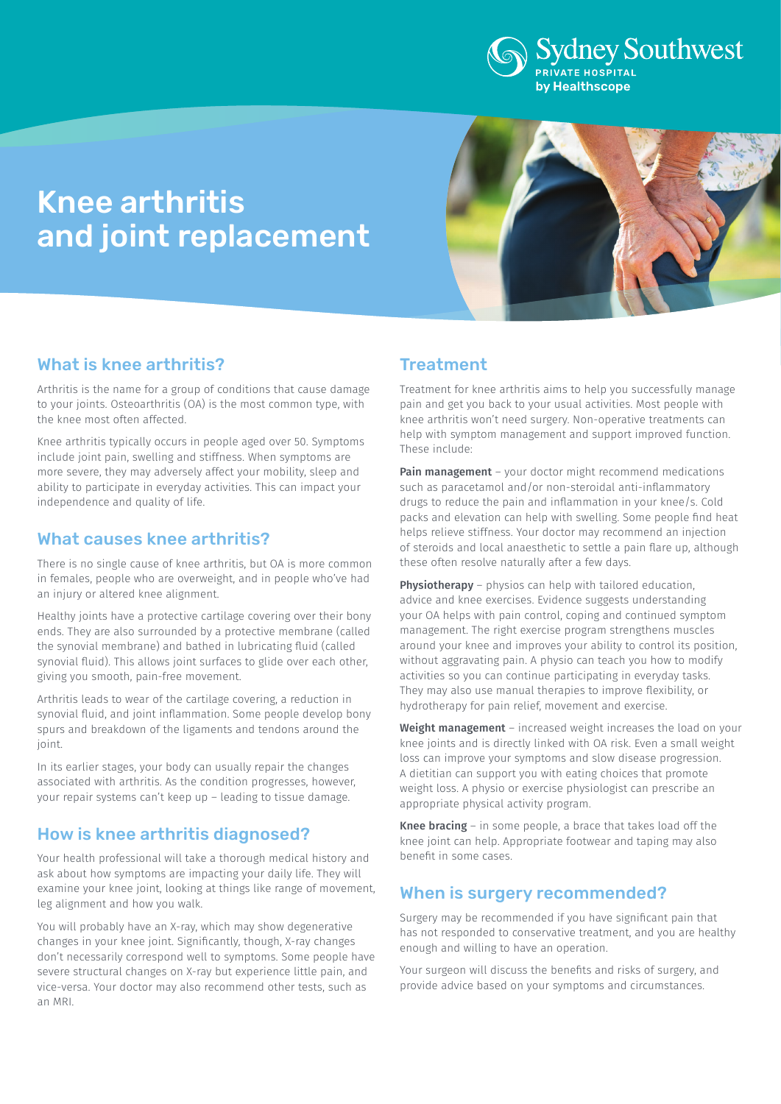

# Knee arthritis and joint replacement



# What is knee arthritis?

Arthritis is the name for a group of conditions that cause damage to your joints. Osteoarthritis (OA) is the most common type, with the knee most often affected.

Knee arthritis typically occurs in people aged over 50. Symptoms include joint pain, swelling and stiffness. When symptoms are more severe, they may adversely affect your mobility, sleep and ability to participate in everyday activities. This can impact your independence and quality of life.

### What causes knee arthritis?

There is no single cause of knee arthritis, but OA is more common in females, people who are overweight, and in people who've had an injury or altered knee alignment.

Healthy joints have a protective cartilage covering over their bony ends. They are also surrounded by a protective membrane (called the synovial membrane) and bathed in lubricating fluid (called synovial fluid). This allows joint surfaces to glide over each other, giving you smooth, pain-free movement.

Arthritis leads to wear of the cartilage covering, a reduction in synovial fluid, and joint inflammation. Some people develop bony spurs and breakdown of the ligaments and tendons around the joint.

In its earlier stages, your body can usually repair the changes associated with arthritis. As the condition progresses, however, your repair systems can't keep up – leading to tissue damage.

## How is knee arthritis diagnosed?

Your health professional will take a thorough medical history and ask about how symptoms are impacting your daily life. They will examine your knee joint, looking at things like range of movement, leg alignment and how you walk.

You will probably have an X-ray, which may show degenerative changes in your knee joint. Significantly, though, X-ray changes don't necessarily correspond well to symptoms. Some people have severe structural changes on X-ray but experience little pain, and vice-versa. Your doctor may also recommend other tests, such as an MRI.

# **Treatment**

Treatment for knee arthritis aims to help you successfully manage pain and get you back to your usual activities. Most people with knee arthritis won't need surgery. Non-operative treatments can help with symptom management and support improved function. These include:

**Pain management** – your doctor might recommend medications such as paracetamol and/or non-steroidal anti-inflammatory drugs to reduce the pain and inflammation in your knee/s. Cold packs and elevation can help with swelling. Some people find heat helps relieve stiffness. Your doctor may recommend an injection of steroids and local anaesthetic to settle a pain flare up, although these often resolve naturally after a few days.

Physiotherapy – physios can help with tailored education, advice and knee exercises. Evidence suggests understanding your OA helps with pain control, coping and continued symptom management. The right exercise program strengthens muscles around your knee and improves your ability to control its position, without aggravating pain. A physio can teach you how to modify activities so you can continue participating in everyday tasks. They may also use manual therapies to improve flexibility, or hydrotherapy for pain relief, movement and exercise.

Weight management – increased weight increases the load on your knee joints and is directly linked with OA risk. Even a small weight loss can improve your symptoms and slow disease progression. A dietitian can support you with eating choices that promote weight loss. A physio or exercise physiologist can prescribe an appropriate physical activity program.

Knee bracing – in some people, a brace that takes load off the knee joint can help. Appropriate footwear and taping may also benefit in some cases.

## When is surgery recommended?

Surgery may be recommended if you have significant pain that has not responded to conservative treatment, and you are healthy enough and willing to have an operation.

Your surgeon will discuss the benefits and risks of surgery, and provide advice based on your symptoms and circumstances.